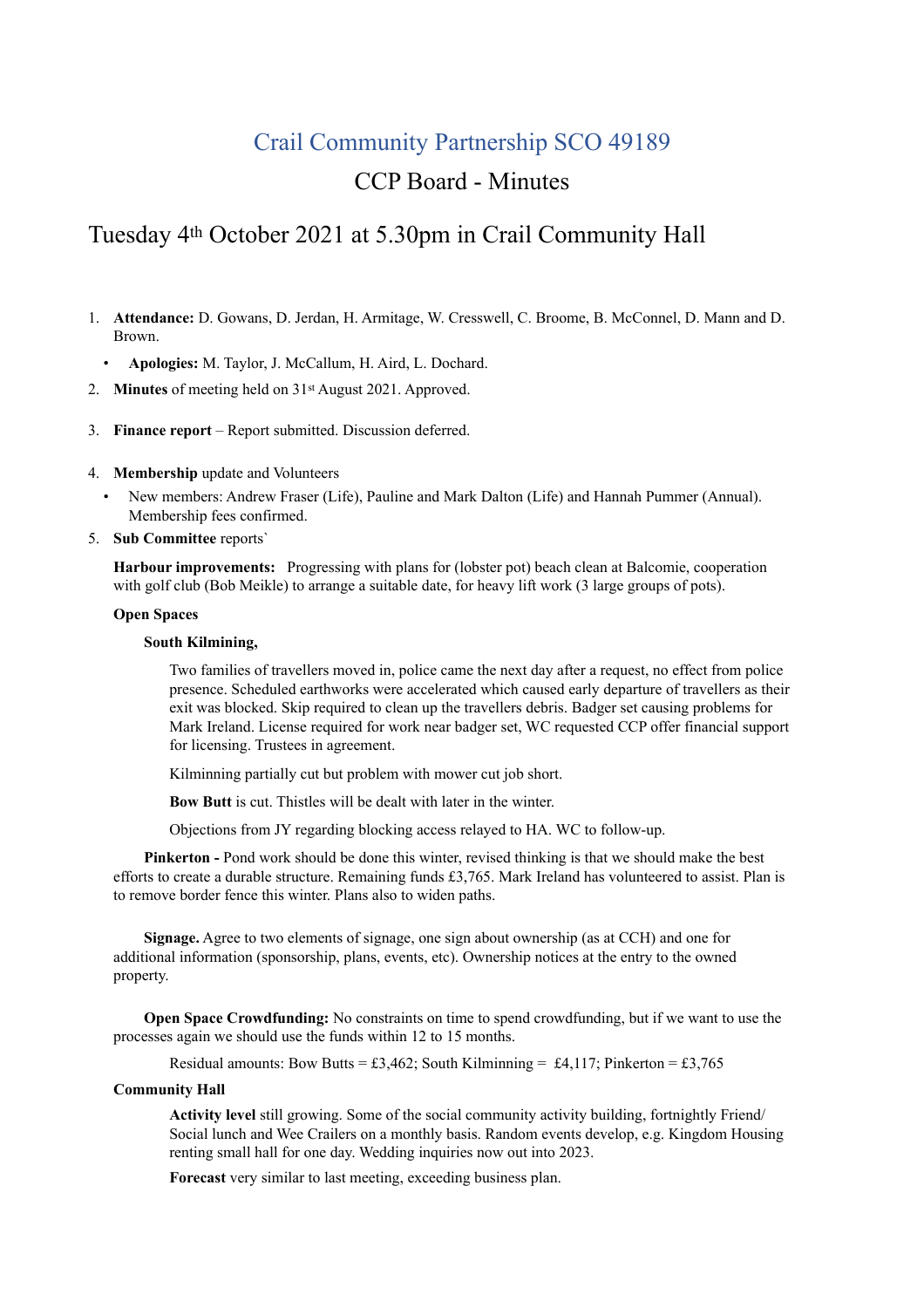## Crail Community Partnership SCO 49189

## CCP Board - Minutes

# Tuesday 4th October 2021 at 5.30pm in Crail Community Hall

- 1. **Attendance:** D. Gowans, D. Jerdan, H. Armitage, W. Cresswell, C. Broome, B. McConnel, D. Mann and D. Brown.
	- **Apologies:** M. Taylor, J. McCallum, H. Aird, L. Dochard.
- 2. **Minutes** of meeting held on 31st August 2021. Approved.
- 3. **Finance report** Report submitted. Discussion deferred.
- 4. **Membership** update and Volunteers
	- New members: Andrew Fraser (Life), Pauline and Mark Dalton (Life) and Hannah Pummer (Annual). Membership fees confirmed.
- 5. **Sub Committee** reports`

**Harbour improvements:** Progressing with plans for (lobster pot) beach clean at Balcomie, cooperation with golf club (Bob Meikle) to arrange a suitable date, for heavy lift work (3 large groups of pots).

#### **Open Spaces**

#### **South Kilmining,**

Two families of travellers moved in, police came the next day after a request, no effect from police presence. Scheduled earthworks were accelerated which caused early departure of travellers as their exit was blocked. Skip required to clean up the travellers debris. Badger set causing problems for Mark Ireland. License required for work near badger set, WC requested CCP offer financial support for licensing. Trustees in agreement.

Kilminning partially cut but problem with mower cut job short.

**Bow Butt** is cut. Thistles will be dealt with later in the winter.

Objections from JY regarding blocking access relayed to HA. WC to follow-up.

**Pinkerton -** Pond work should be done this winter, revised thinking is that we should make the best efforts to create a durable structure. Remaining funds £3,765. Mark Ireland has volunteered to assist. Plan is to remove border fence this winter. Plans also to widen paths.

**Signage.** Agree to two elements of signage, one sign about ownership (as at CCH) and one for additional information (sponsorship, plans, events, etc). Ownership notices at the entry to the owned property.

**Open Space Crowdfunding:** No constraints on time to spend crowdfunding, but if we want to use the processes again we should use the funds within 12 to 15 months.

Residual amounts: Bow Butts = £3,462; South Kilminning = £4,117; Pinkerton = £3,765

#### **Community Hall**

**Activity level** still growing. Some of the social community activity building, fortnightly Friend/ Social lunch and Wee Crailers on a monthly basis. Random events develop, e.g. Kingdom Housing renting small hall for one day. Wedding inquiries now out into 2023.

**Forecast** very similar to last meeting, exceeding business plan.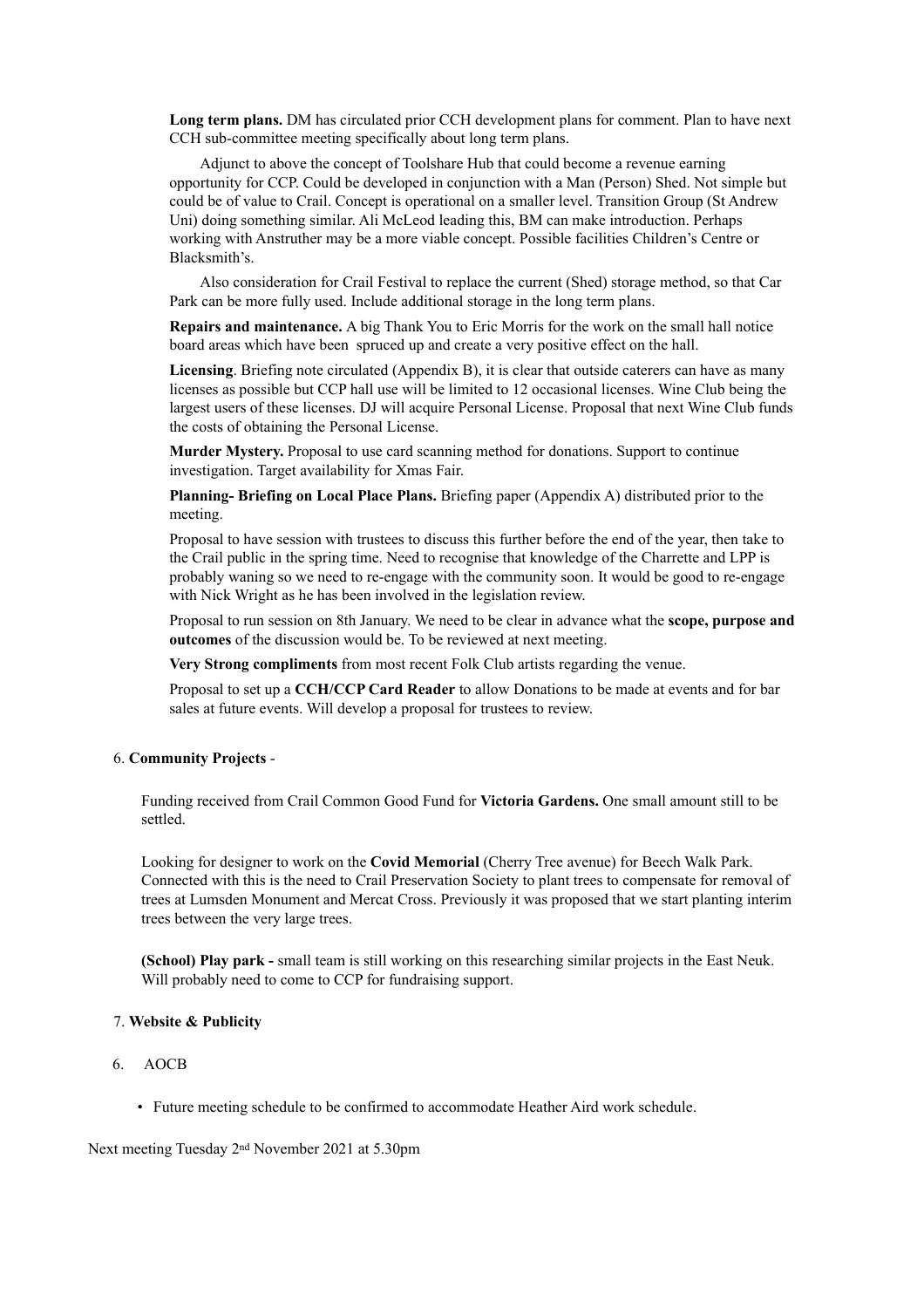**Long term plans.** DM has circulated prior CCH development plans for comment. Plan to have next CCH sub-committee meeting specifically about long term plans.

Adjunct to above the concept of Toolshare Hub that could become a revenue earning opportunity for CCP. Could be developed in conjunction with a Man (Person) Shed. Not simple but could be of value to Crail. Concept is operational on a smaller level. Transition Group (St Andrew Uni) doing something similar. Ali McLeod leading this, BM can make introduction. Perhaps working with Anstruther may be a more viable concept. Possible facilities Children's Centre or Blacksmith's.

Also consideration for Crail Festival to replace the current (Shed) storage method, so that Car Park can be more fully used. Include additional storage in the long term plans.

**Repairs and maintenance.** A big Thank You to Eric Morris for the work on the small hall notice board areas which have been spruced up and create a very positive effect on the hall.

**Licensing**. Briefing note circulated (Appendix B), it is clear that outside caterers can have as many licenses as possible but CCP hall use will be limited to 12 occasional licenses. Wine Club being the largest users of these licenses. DJ will acquire Personal License. Proposal that next Wine Club funds the costs of obtaining the Personal License.

**Murder Mystery.** Proposal to use card scanning method for donations. Support to continue investigation. Target availability for Xmas Fair.

**Planning- Briefing on Local Place Plans.** Briefing paper (Appendix A) distributed prior to the meeting.

Proposal to have session with trustees to discuss this further before the end of the year, then take to the Crail public in the spring time. Need to recognise that knowledge of the Charrette and LPP is probably waning so we need to re-engage with the community soon. It would be good to re-engage with Nick Wright as he has been involved in the legislation review.

Proposal to run session on 8th January. We need to be clear in advance what the **scope, purpose and outcomes** of the discussion would be. To be reviewed at next meeting.

**Very Strong compliments** from most recent Folk Club artists regarding the venue.

Proposal to set up a **CCH/CCP Card Reader** to allow Donations to be made at events and for bar sales at future events. Will develop a proposal for trustees to review.

#### 6. **Community Projects** -

Funding received from Crail Common Good Fund for **Victoria Gardens.** One small amount still to be settled.

Looking for designer to work on the **Covid Memorial** (Cherry Tree avenue) for Beech Walk Park. Connected with this is the need to Crail Preservation Society to plant trees to compensate for removal of trees at Lumsden Monument and Mercat Cross. Previously it was proposed that we start planting interim trees between the very large trees.

**(School) Play park -** small team is still working on this researching similar projects in the East Neuk. Will probably need to come to CCP for fundraising support.

#### 7. **Website & Publicity**

- 6. AOCB
	- Future meeting schedule to be confirmed to accommodate Heather Aird work schedule.

Next meeting Tuesday 2nd November 2021 at 5.30pm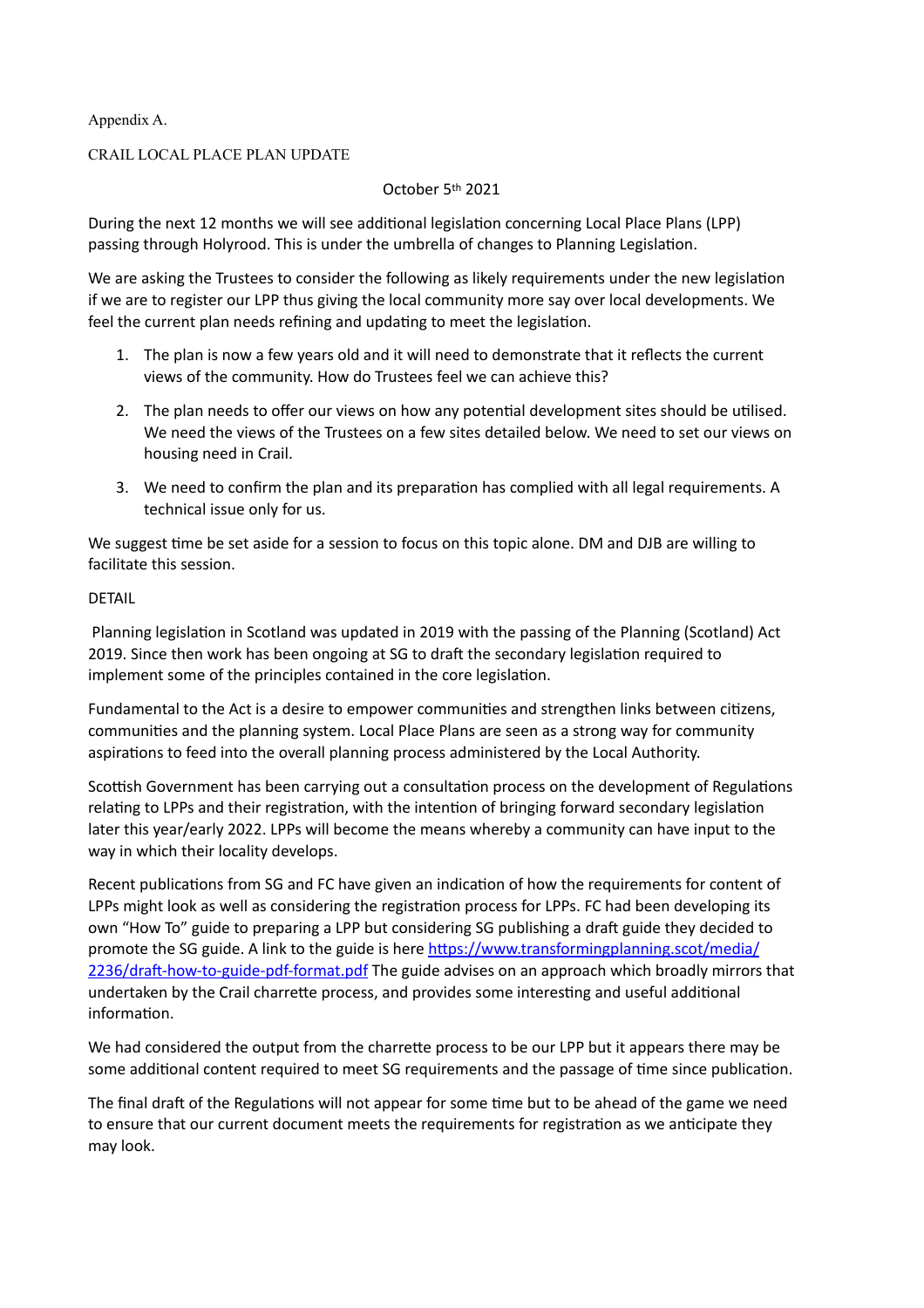Appendix A.

## CRAIL LOCAL PLACE PLAN UPDATE

## October 5th 2021

During the next 12 months we will see additional legislation concerning Local Place Plans (LPP) passing through Holyrood. This is under the umbrella of changes to Planning Legislation.

We are asking the Trustees to consider the following as likely requirements under the new legislation if we are to register our LPP thus giving the local community more say over local developments. We feel the current plan needs refining and updating to meet the legislation.

- 1. The plan is now a few years old and it will need to demonstrate that it reflects the current views of the community. How do Trustees feel we can achieve this?
- 2. The plan needs to offer our views on how any potential development sites should be utilised. We need the views of the Trustees on a few sites detailed below. We need to set our views on housing need in Crail.
- 3. We need to confirm the plan and its preparation has complied with all legal requirements. A technical issue only for us.

We suggest time be set aside for a session to focus on this topic alone. DM and DJB are willing to facilitate this session.

## DETAIL

 Planning legislation in Scotland was updated in 2019 with the passing of the Planning (Scotland) Act 2019. Since then work has been ongoing at SG to draft the secondary legislation required to implement some of the principles contained in the core legislation.

Fundamental to the Act is a desire to empower communities and strengthen links between citizens, communities and the planning system. Local Place Plans are seen as a strong way for community aspirations to feed into the overall planning process administered by the Local Authority.

Scottish Government has been carrying out a consultation process on the development of Regulations relating to LPPs and their registration, with the intention of bringing forward secondary legislation later this year/early 2022. LPPs will become the means whereby a community can have input to the way in which their locality develops.

Recent publications from SG and FC have given an indication of how the requirements for content of LPPs might look as well as considering the registration process for LPPs. FC had been developing its own "How To" guide to preparing a LPP but considering SG publishing a draft guide they decided to promote the SG guide. A link to the guide is here [https://www.transformingplanning.scot/media/](https://emea01.safelinks.protection.outlook.com/?url=https://www.transformingplanning.scot/media/2236/draft-how-to-guide-pdf-format.pdf&data=04%257C01%257C%257C734e0f268bae4022800908d92b53dd1b%257C84df9e7fe9f640afb435aaaaaaaaaaaa%257C1%257C0%257C637588461449081145%257CUnknown%257CTWFpbGZsb3d8eyJWIjoiMC4wLjAwMDAiLCJQIjoiV2luMzIiLCJBTiI6Ik1haWwiLCJXVCI6Mn0=%257C1000&sdata=W/f6U4VbW7cB1hIXEEQplSYOC9hYJP8fNn3eFgDhbrA=&reserved=0) [2236/draft-how-to-guide-pdf-format.pdf](https://emea01.safelinks.protection.outlook.com/?url=https://www.transformingplanning.scot/media/2236/draft-how-to-guide-pdf-format.pdf&data=04%257C01%257C%257C734e0f268bae4022800908d92b53dd1b%257C84df9e7fe9f640afb435aaaaaaaaaaaa%257C1%257C0%257C637588461449081145%257CUnknown%257CTWFpbGZsb3d8eyJWIjoiMC4wLjAwMDAiLCJQIjoiV2luMzIiLCJBTiI6Ik1haWwiLCJXVCI6Mn0=%257C1000&sdata=W/f6U4VbW7cB1hIXEEQplSYOC9hYJP8fNn3eFgDhbrA=&reserved=0) The guide advises on an approach which broadly mirrors that undertaken by the Crail charrette process, and provides some interesting and useful additional information.

We had considered the output from the charrette process to be our LPP but it appears there may be some additional content required to meet SG requirements and the passage of time since publication.

The final draft of the Regulations will not appear for some time but to be ahead of the game we need to ensure that our current document meets the requirements for registration as we anticipate they may look.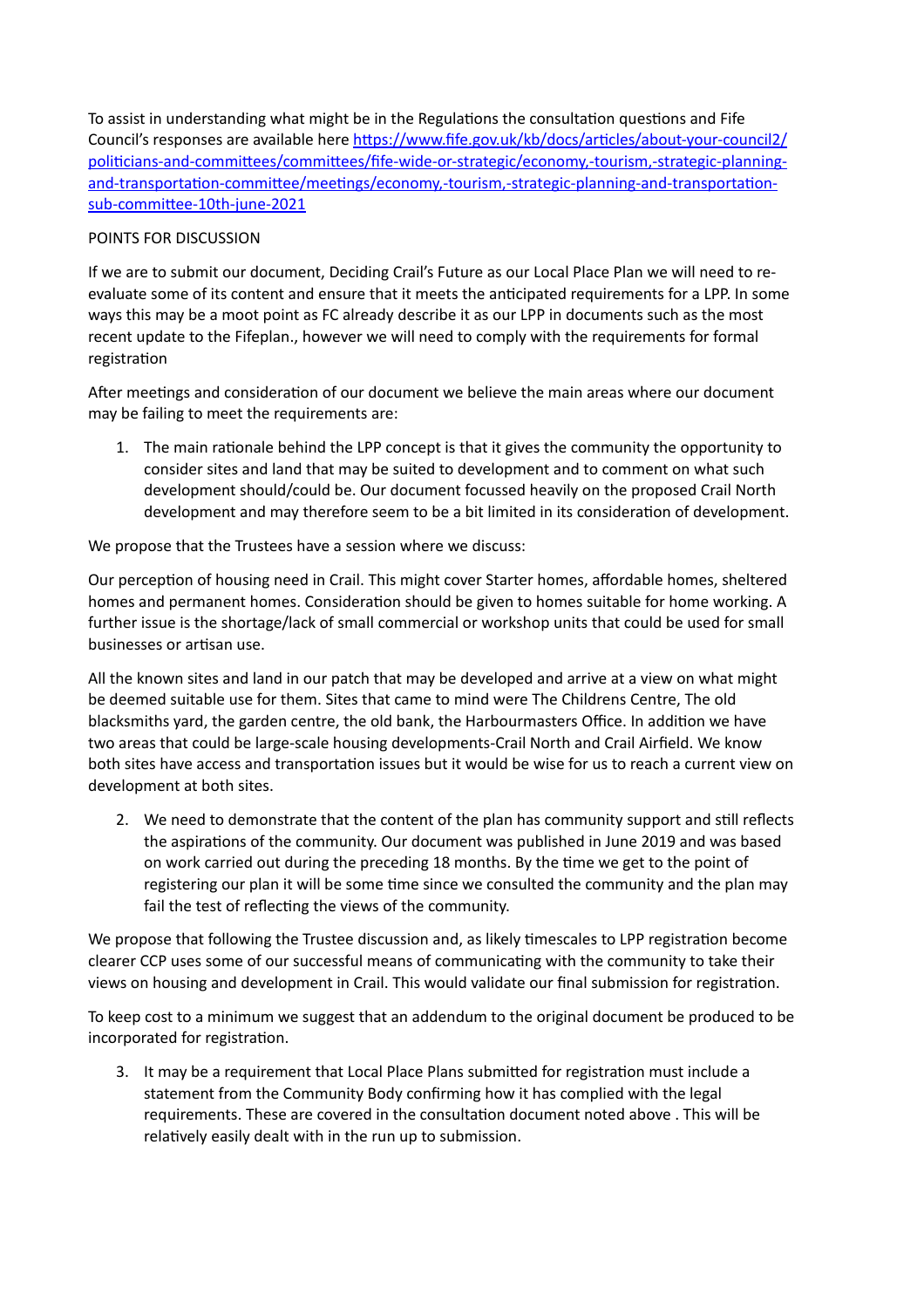To assist in understanding what might be in the Regulations the consultation questions and Fife Council's responses are available here [https://www.fife.gov.uk/kb/docs/articles/about-your-council2/](https://www.fife.gov.uk/kb/docs/articles/about-your-council2/politicians-and-committees/committees/fife-wide-or-strategic/economy,-tourism,-strategic-planning-and-transportation-committee/meetings/economy,-tourism,-strategic-planning-and-transportation-sub-committee-10th-june-2021) [politicians-and-committees/committees/fife-wide-or-strategic/economy,-tourism,-strategic-planning](https://www.fife.gov.uk/kb/docs/articles/about-your-council2/politicians-and-committees/committees/fife-wide-or-strategic/economy,-tourism,-strategic-planning-and-transportation-committee/meetings/economy,-tourism,-strategic-planning-and-transportation-sub-committee-10th-june-2021)[and-transportation-committee/meetings/economy,-tourism,-strategic-planning-and-transportation](https://www.fife.gov.uk/kb/docs/articles/about-your-council2/politicians-and-committees/committees/fife-wide-or-strategic/economy,-tourism,-strategic-planning-and-transportation-committee/meetings/economy,-tourism,-strategic-planning-and-transportation-sub-committee-10th-june-2021)[sub-committee-10th-june-2021](https://www.fife.gov.uk/kb/docs/articles/about-your-council2/politicians-and-committees/committees/fife-wide-or-strategic/economy,-tourism,-strategic-planning-and-transportation-committee/meetings/economy,-tourism,-strategic-planning-and-transportation-sub-committee-10th-june-2021)

## POINTS FOR DISCUSSION

If we are to submit our document, Deciding Crail's Future as our Local Place Plan we will need to reevaluate some of its content and ensure that it meets the anticipated requirements for a LPP. In some ways this may be a moot point as FC already describe it as our LPP in documents such as the most recent update to the Fifeplan., however we will need to comply with the requirements for formal registration

After meetings and consideration of our document we believe the main areas where our document may be failing to meet the requirements are:

1. The main rationale behind the LPP concept is that it gives the community the opportunity to consider sites and land that may be suited to development and to comment on what such development should/could be. Our document focussed heavily on the proposed Crail North development and may therefore seem to be a bit limited in its consideration of development.

We propose that the Trustees have a session where we discuss:

Our perception of housing need in Crail. This might cover Starter homes, affordable homes, sheltered homes and permanent homes. Consideration should be given to homes suitable for home working. A further issue is the shortage/lack of small commercial or workshop units that could be used for small businesses or artisan use.

All the known sites and land in our patch that may be developed and arrive at a view on what might be deemed suitable use for them. Sites that came to mind were The Childrens Centre, The old blacksmiths yard, the garden centre, the old bank, the Harbourmasters Office. In addition we have two areas that could be large-scale housing developments-Crail North and Crail Airfield. We know both sites have access and transportation issues but it would be wise for us to reach a current view on development at both sites.

2. We need to demonstrate that the content of the plan has community support and still reflects the aspirations of the community. Our document was published in June 2019 and was based on work carried out during the preceding 18 months. By the time we get to the point of registering our plan it will be some time since we consulted the community and the plan may fail the test of reflecting the views of the community.

We propose that following the Trustee discussion and, as likely timescales to LPP registration become clearer CCP uses some of our successful means of communicating with the community to take their views on housing and development in Crail. This would validate our final submission for registration.

To keep cost to a minimum we suggest that an addendum to the original document be produced to be incorporated for registration.

3. It may be a requirement that Local Place Plans submitted for registration must include a statement from the Community Body confirming how it has complied with the legal requirements. These are covered in the consultation document noted above . This will be relatively easily dealt with in the run up to submission.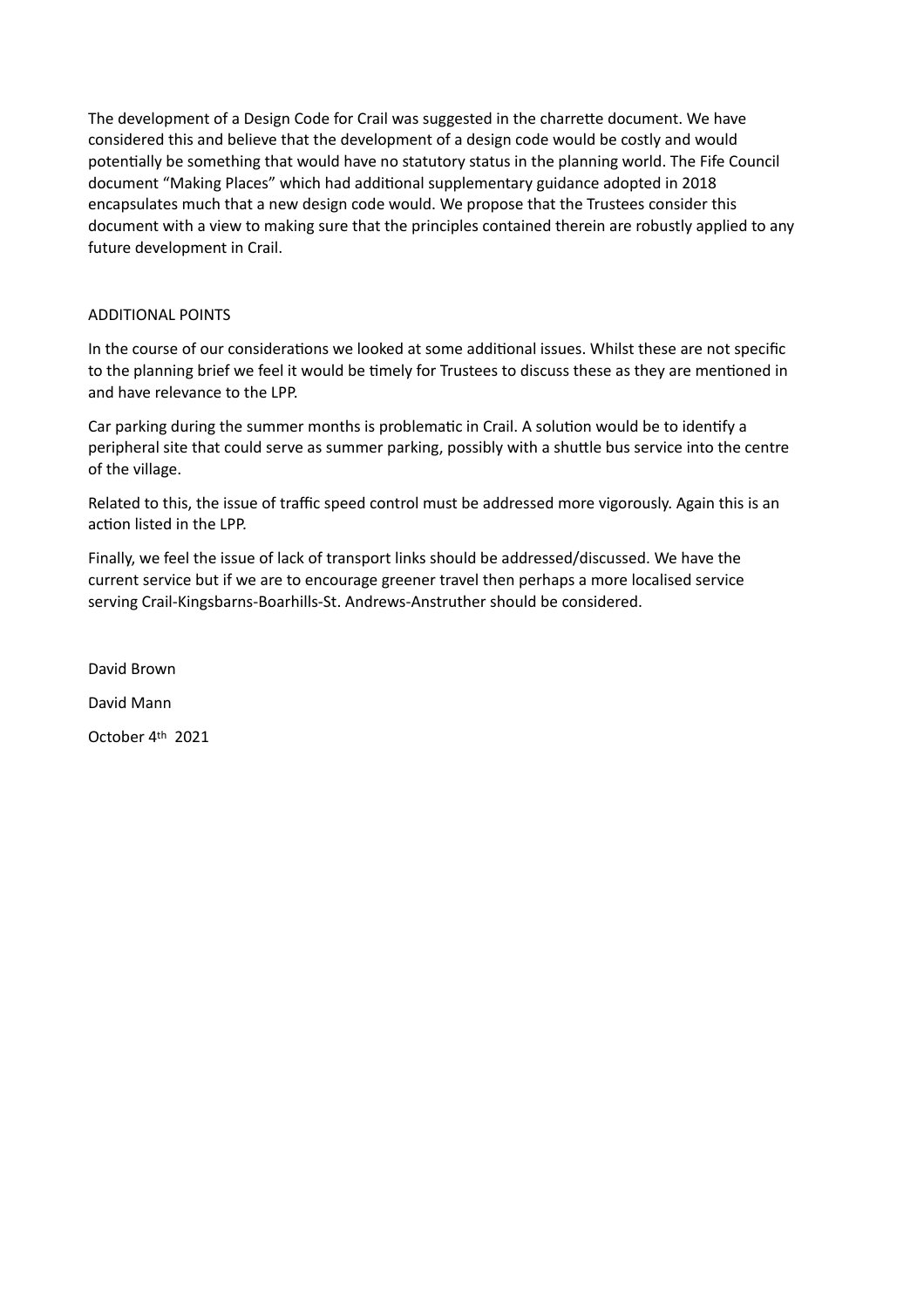The development of a Design Code for Crail was suggested in the charrette document. We have considered this and believe that the development of a design code would be costly and would potentially be something that would have no statutory status in the planning world. The Fife Council document "Making Places" which had additional supplementary guidance adopted in 2018 encapsulates much that a new design code would. We propose that the Trustees consider this document with a view to making sure that the principles contained therein are robustly applied to any future development in Crail.

## ADDITIONAL POINTS

In the course of our considerations we looked at some additional issues. Whilst these are not specific to the planning brief we feel it would be timely for Trustees to discuss these as they are mentioned in and have relevance to the LPP.

Car parking during the summer months is problematic in Crail. A solution would be to identify a peripheral site that could serve as summer parking, possibly with a shuttle bus service into the centre of the village.

Related to this, the issue of traffic speed control must be addressed more vigorously. Again this is an action listed in the LPP.

Finally, we feel the issue of lack of transport links should be addressed/discussed. We have the current service but if we are to encourage greener travel then perhaps a more localised service serving Crail-Kingsbarns-Boarhills-St. Andrews-Anstruther should be considered.

David Brown

David Mann

October 4th 2021